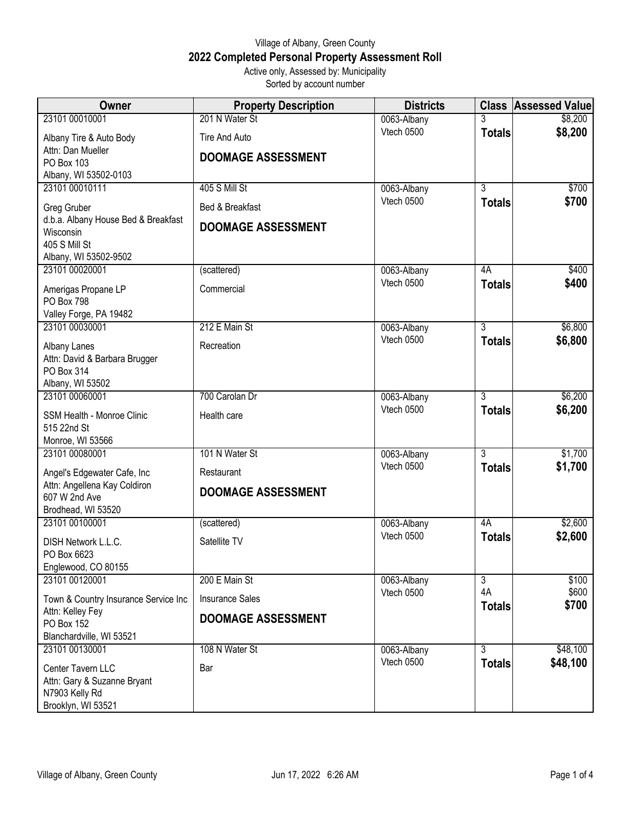## Village of Albany, Green County **2022 Completed Personal Property Assessment Roll** Active only, Assessed by: Municipality

Sorted by account number

| <b>Owner</b>                                       | <b>Property Description</b> | <b>Districts</b>          |                      | <b>Class Assessed Value</b> |
|----------------------------------------------------|-----------------------------|---------------------------|----------------------|-----------------------------|
| 23101 00010001                                     | 201 N Water St              | 0063-Albany               |                      | \$8,200                     |
| Albany Tire & Auto Body                            | Tire And Auto               | Vtech 0500                | <b>Totals</b>        | \$8,200                     |
| Attn: Dan Mueller                                  | <b>DOOMAGE ASSESSMENT</b>   |                           |                      |                             |
| PO Box 103<br>Albany, WI 53502-0103                |                             |                           |                      |                             |
| 23101 00010111                                     | <b>405 S Mill St</b>        | 0063-Albany               | 3                    | \$700                       |
|                                                    |                             | Vtech 0500                | <b>Totals</b>        | \$700                       |
| Greg Gruber<br>d.b.a. Albany House Bed & Breakfast | Bed & Breakfast             |                           |                      |                             |
| Wisconsin                                          | <b>DOOMAGE ASSESSMENT</b>   |                           |                      |                             |
| 405 S Mill St                                      |                             |                           |                      |                             |
| Albany, WI 53502-9502                              |                             |                           |                      |                             |
| 23101 00020001                                     | (scattered)                 | 0063-Albany<br>Vtech 0500 | 4A                   | \$400<br>\$400              |
| Amerigas Propane LP                                | Commercial                  |                           | <b>Totals</b>        |                             |
| <b>PO Box 798</b><br>Valley Forge, PA 19482        |                             |                           |                      |                             |
| 23101 00030001                                     | 212 E Main St               | 0063-Albany               | $\overline{3}$       | \$6,800                     |
| Albany Lanes                                       | Recreation                  | Vtech 0500                | <b>Totals</b>        | \$6,800                     |
| Attn: David & Barbara Brugger                      |                             |                           |                      |                             |
| PO Box 314                                         |                             |                           |                      |                             |
| Albany, WI 53502                                   |                             |                           |                      |                             |
| 23101 00060001                                     | 700 Carolan Dr              | 0063-Albany               | 3                    | \$6,200                     |
| SSM Health - Monroe Clinic                         | Health care                 | Vtech 0500                | <b>Totals</b>        | \$6,200                     |
| 515 22nd St                                        |                             |                           |                      |                             |
| Monroe, WI 53566<br>23101 00080001                 | 101 N Water St              | 0063-Albany               | 3                    | \$1,700                     |
|                                                    |                             | Vtech 0500                | <b>Totals</b>        | \$1,700                     |
| Angel's Edgewater Cafe, Inc                        | Restaurant                  |                           |                      |                             |
| Attn: Angellena Kay Coldiron<br>607 W 2nd Ave      | <b>DOOMAGE ASSESSMENT</b>   |                           |                      |                             |
| Brodhead, WI 53520                                 |                             |                           |                      |                             |
| 23101 00100001                                     | (scattered)                 | 0063-Albany               | 4A                   | \$2,600                     |
| DISH Network L.L.C.                                | Satellite TV                | Vtech 0500                | <b>Totals</b>        | \$2,600                     |
| PO Box 6623                                        |                             |                           |                      |                             |
| Englewood, CO 80155                                |                             |                           |                      |                             |
| 23101 00120001                                     | 200 E Main St               | 0063-Albany<br>Vtech 0500 | $\overline{3}$<br>4A | \$100<br>\$600              |
| Town & Country Insurance Service Inc               | <b>Insurance Sales</b>      |                           | <b>Totals</b>        | \$700                       |
| Attn: Kelley Fey<br>PO Box 152                     | <b>DOOMAGE ASSESSMENT</b>   |                           |                      |                             |
| Blanchardville, WI 53521                           |                             |                           |                      |                             |
| 23101 00130001                                     | 108 N Water St              | 0063-Albany               | $\overline{3}$       | \$48,100                    |
| Center Tavern LLC                                  | Bar                         | Vtech 0500                | <b>Totals</b>        | \$48,100                    |
| Attn: Gary & Suzanne Bryant                        |                             |                           |                      |                             |
| N7903 Kelly Rd                                     |                             |                           |                      |                             |
| Brooklyn, WI 53521                                 |                             |                           |                      |                             |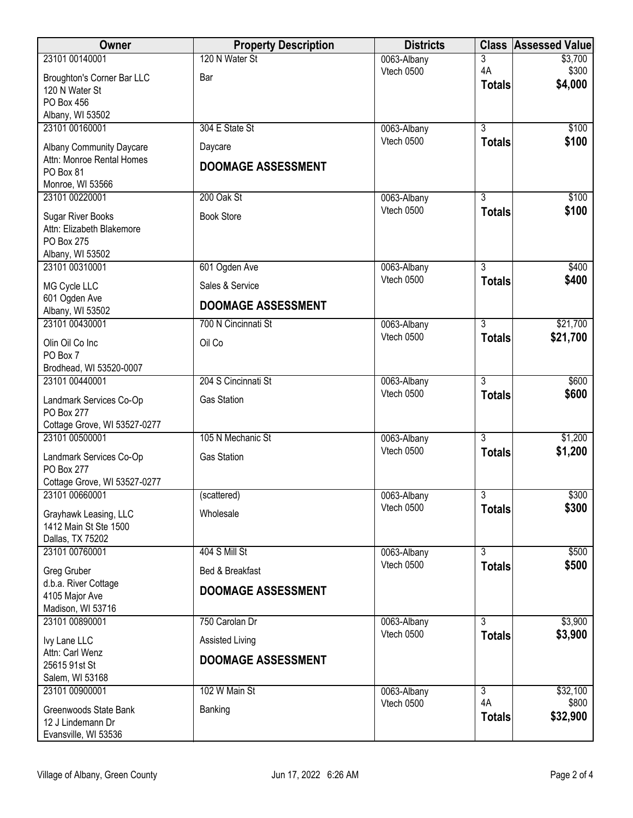| Owner                                          | <b>Property Description</b> | <b>Districts</b> |                     | <b>Class Assessed Value</b> |
|------------------------------------------------|-----------------------------|------------------|---------------------|-----------------------------|
| 23101 00140001                                 | 120 N Water St              | 0063-Albany      | 3                   | \$3,700                     |
| Broughton's Corner Bar LLC                     | Bar                         | Vtech 0500       | 4A<br><b>Totals</b> | \$300<br>\$4,000            |
| 120 N Water St<br>PO Box 456                   |                             |                  |                     |                             |
| Albany, WI 53502                               |                             |                  |                     |                             |
| 23101 00160001                                 | 304 E State St              | 0063-Albany      | $\overline{3}$      | \$100                       |
| Albany Community Daycare                       | Daycare                     | Vtech 0500       | <b>Totals</b>       | \$100                       |
| Attn: Monroe Rental Homes                      | <b>DOOMAGE ASSESSMENT</b>   |                  |                     |                             |
| PO Box 81<br>Monroe, WI 53566                  |                             |                  |                     |                             |
| 23101 00220001                                 | 200 Oak St                  | 0063-Albany      | 3                   | \$100                       |
| <b>Sugar River Books</b>                       | <b>Book Store</b>           | Vtech 0500       | <b>Totals</b>       | \$100                       |
| Attn: Elizabeth Blakemore                      |                             |                  |                     |                             |
| PO Box 275                                     |                             |                  |                     |                             |
| Albany, WI 53502<br>23101 00310001             | 601 Ogden Ave               | 0063-Albany      | $\overline{3}$      | \$400                       |
|                                                |                             | Vtech 0500       | <b>Totals</b>       | \$400                       |
| MG Cycle LLC<br>601 Ogden Ave                  | Sales & Service             |                  |                     |                             |
| Albany, WI 53502                               | <b>DOOMAGE ASSESSMENT</b>   |                  |                     |                             |
| 23101 00430001                                 | 700 N Cincinnati St         | 0063-Albany      | 3                   | \$21,700                    |
| Olin Oil Co Inc                                | Oil Co                      | Vtech 0500       | <b>Totals</b>       | \$21,700                    |
| PO Box 7                                       |                             |                  |                     |                             |
| Brodhead, WI 53520-0007<br>23101 00440001      | 204 S Cincinnati St         | 0063-Albany      | $\overline{3}$      | \$600                       |
|                                                | <b>Gas Station</b>          | Vtech 0500       | <b>Totals</b>       | \$600                       |
| Landmark Services Co-Op<br><b>PO Box 277</b>   |                             |                  |                     |                             |
| Cottage Grove, WI 53527-0277                   |                             |                  |                     |                             |
| 23101 00500001                                 | 105 N Mechanic St           | 0063-Albany      | $\overline{3}$      | \$1,200                     |
| Landmark Services Co-Op                        | <b>Gas Station</b>          | Vtech 0500       | <b>Totals</b>       | \$1,200                     |
| <b>PO Box 277</b>                              |                             |                  |                     |                             |
| Cottage Grove, WI 53527-0277<br>23101 00660001 | (scattered)                 | 0063-Albany      | 3                   | \$300                       |
| Grayhawk Leasing, LLC                          | Wholesale                   | Vtech 0500       | <b>Totals</b>       | \$300                       |
| 1412 Main St Ste 1500                          |                             |                  |                     |                             |
| Dallas, TX 75202                               |                             |                  |                     |                             |
| 23101 00760001                                 | 404 S Mill St               | 0063-Albany      | $\overline{3}$      | \$500                       |
| Greg Gruber                                    | Bed & Breakfast             | Vtech 0500       | <b>Totals</b>       | \$500                       |
| d.b.a. River Cottage<br>4105 Major Ave         | <b>DOOMAGE ASSESSMENT</b>   |                  |                     |                             |
| Madison, WI 53716                              |                             |                  |                     |                             |
| 23101 00890001                                 | 750 Carolan Dr              | 0063-Albany      | 3                   | \$3,900                     |
| Ivy Lane LLC                                   | Assisted Living             | Vtech 0500       | <b>Totals</b>       | \$3,900                     |
| Attn: Carl Wenz                                | <b>DOOMAGE ASSESSMENT</b>   |                  |                     |                             |
| 25615 91st St<br>Salem, WI 53168               |                             |                  |                     |                             |
| 23101 00900001                                 | 102 W Main St               | 0063-Albany      | $\overline{3}$      | \$32,100                    |
| Greenwoods State Bank                          | Banking                     | Vtech 0500       | 4A                  | \$800                       |
| 12 J Lindemann Dr                              |                             |                  | <b>Totals</b>       | \$32,900                    |
| Evansville, WI 53536                           |                             |                  |                     |                             |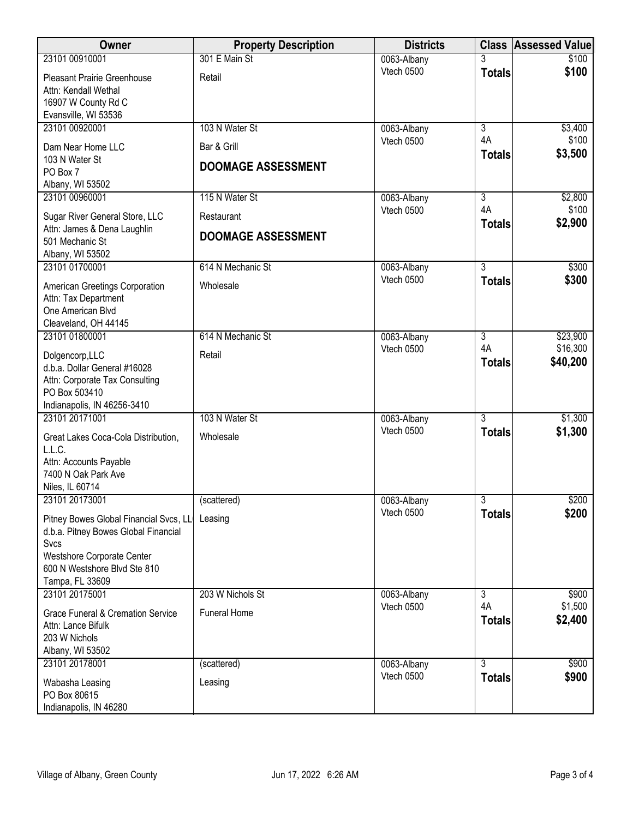| <b>Owner</b>                                                                                                                                                            | <b>Property Description</b>              | <b>Districts</b> |                     | <b>Class Assessed Value</b> |
|-------------------------------------------------------------------------------------------------------------------------------------------------------------------------|------------------------------------------|------------------|---------------------|-----------------------------|
| 23101 00910001                                                                                                                                                          | 301 E Main St                            | 0063-Albany      |                     | \$100                       |
| <b>Pleasant Prairie Greenhouse</b><br>Attn: Kendall Wethal<br>16907 W County Rd C<br>Evansville, WI 53536                                                               | Retail                                   | Vtech 0500       | <b>Totals</b>       | \$100                       |
| 23101 00920001                                                                                                                                                          | 103 N Water St                           | 0063-Albany      | $\overline{3}$      | \$3,400                     |
| Dam Near Home LLC<br>103 N Water St<br>PO Box 7                                                                                                                         | Bar & Grill<br><b>DOOMAGE ASSESSMENT</b> | Vtech 0500       | 4A<br><b>Totals</b> | \$100<br>\$3,500            |
| Albany, WI 53502                                                                                                                                                        |                                          |                  |                     |                             |
| 23101 00960001                                                                                                                                                          | 115 N Water St                           | 0063-Albany      | 3                   | \$2,800                     |
| Sugar River General Store, LLC<br>Attn: James & Dena Laughlin                                                                                                           | Restaurant                               | Vtech 0500       | 4A<br><b>Totals</b> | \$100<br>\$2,900            |
| 501 Mechanic St<br>Albany, WI 53502                                                                                                                                     | <b>DOOMAGE ASSESSMENT</b>                |                  |                     |                             |
| 23101 01700001                                                                                                                                                          | 614 N Mechanic St                        | 0063-Albany      | $\overline{3}$      | \$300                       |
| American Greetings Corporation<br>Attn: Tax Department<br>One American Blvd<br>Cleaveland, OH 44145                                                                     | Wholesale                                | Vtech 0500       | <b>Totals</b>       | \$300                       |
| 23101 01800001                                                                                                                                                          | 614 N Mechanic St                        | 0063-Albany      | 3                   | \$23,900                    |
| Dolgencorp, LLC<br>d.b.a. Dollar General #16028<br>Attn: Corporate Tax Consulting<br>PO Box 503410<br>Indianapolis, IN 46256-3410                                       | Retail                                   | Vtech 0500       | 4A<br><b>Totals</b> | \$16,300<br>\$40,200        |
| 23101 20171001                                                                                                                                                          | 103 N Water St                           | 0063-Albany      | $\overline{3}$      | \$1,300                     |
| Great Lakes Coca-Cola Distribution,<br>L.L.C.<br>Attn: Accounts Payable<br>7400 N Oak Park Ave<br>Niles, IL 60714                                                       | Wholesale                                | Vtech 0500       | <b>Totals</b>       | \$1,300                     |
| 23101 20173001                                                                                                                                                          | (scattered)                              | 0063-Albany      | $\overline{3}$      | \$200                       |
| Pitney Bowes Global Financial Svcs, LL<br>d.b.a. Pitney Bowes Global Financial<br>Svcs<br>Westshore Corporate Center<br>600 N Westshore Blvd Ste 810<br>Tampa, FL 33609 | Leasing                                  | Vtech 0500       | <b>Totals</b>       | \$200                       |
| 23101 20175001                                                                                                                                                          | 203 W Nichols St                         | 0063-Albany      | 3                   | \$900                       |
| Grace Funeral & Cremation Service<br>Attn: Lance Bifulk<br>203 W Nichols<br>Albany, WI 53502                                                                            | <b>Funeral Home</b>                      | Vtech 0500       | 4A<br><b>Totals</b> | \$1,500<br>\$2,400          |
| 23101 20178001                                                                                                                                                          | (scattered)                              | 0063-Albany      | 3                   | \$900                       |
| Wabasha Leasing<br>PO Box 80615<br>Indianapolis, IN 46280                                                                                                               | Leasing                                  | Vtech 0500       | <b>Totals</b>       | \$900                       |